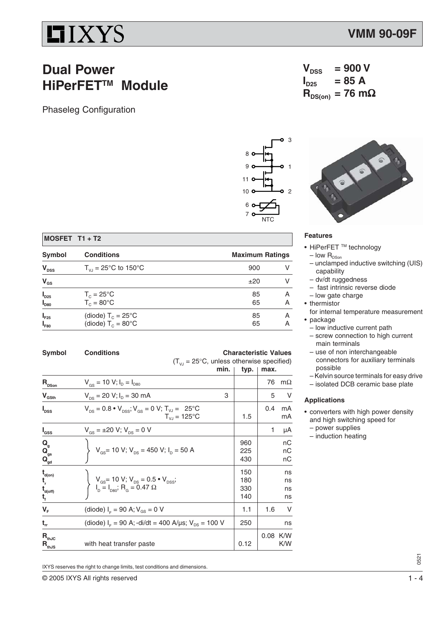## $IIIXYS$

### **Dual Power HiPerFET™ Module**

Phaseleg Configuration





#### **Features**

• HiPerFET ™ technology

 $V_{DSS}$  = 900 V<br> $I_{DSE}$  = 85 A

 $R_{DS(on)}$  = 76 mΩ

 $I_{D25}$ 

- low $\mathsf{R}_{\textsf{DSon}}$
- unclamped inductive switching (UIS) capability
- dv/dt ruggedness
- fast intrinsic reverse diode
- low gate charge
- thermistor
- for internal temperature measurement • package
- low inductive current path
- screw connection to high current main terminals
- use of non interchangeable connectors for auxiliary terminals possible
- Kelvin source terminals for easy drive
- isolated DCB ceramic base plate

#### **Applications**

- converters with high power density and high switching speed for
	- power supplies
	- induction heating

| <b>Conditions</b>                                            | <b>Maximum Ratings</b> |
|--------------------------------------------------------------|------------------------|
| $T_{V1} = 25^{\circ}C$ to 150°C                              | 900                    |
|                                                              | ±20                    |
| $T_c = 25^{\circ}C$<br>$T_c = 80^{\circ}$ C                  | 85<br>Α<br>65<br>A     |
| (diode) $T_c = 25^{\circ}$ C<br>(diode) $T_c = 80^{\circ}$ C | 85<br>A<br>65<br>А     |
|                                                              |                        |

| Symbol                                                                                        | <b>Conditions</b><br><b>Characteristic Values</b><br>$(T_{V_1} = 25^{\circ}C$ , unless otherwise specified)                       |                          |          |                      |
|-----------------------------------------------------------------------------------------------|-----------------------------------------------------------------------------------------------------------------------------------|--------------------------|----------|----------------------|
|                                                                                               | min.                                                                                                                              | typ.                     | max.     |                      |
| $\mathbf{R}_{\text{DSon}}$                                                                    | $V_{gs}$ = 10 V; $I_{D} = I_{D80}$                                                                                                |                          | 76       | $m\Omega$            |
| $V_{\text{GSth}}$                                                                             | $V_{DS}$ = 20 V; $I_D$ = 30 mA<br>3                                                                                               |                          | 5        | V                    |
| $I_{DSS}$                                                                                     | $V_{DS} = 0.8 \cdot V_{DSS}$ ; $V_{GS} = 0$ V; $T_{VJ} = 25$ °C<br>$T_{V,I} = 125^{\circ}C$                                       | 1.5                      | 0.4      | mA<br>mA             |
| l <sub>GSS</sub>                                                                              | $V_{\text{gs}} = \pm 20 \text{ V}; V_{\text{ps}} = 0 \text{ V}$                                                                   |                          | 1        | μA                   |
| $Q_{gs}^{Q_{gs}}$                                                                             | $V_{\text{GS}}$ = 10 V; V <sub>DS</sub> = 450 V; I <sub>D</sub> = 50 A                                                            | 960<br>225<br>430        |          | nC<br>nС<br>nС       |
| $\mathbf{t}_{\mathsf{d}(\mathsf{on})}$<br>t,<br>$\mathbf{t}_{\mathsf{d}(\mathsf{off})}$<br>t, | $V_{\text{GS}}$ = 10 V; V <sub>DS</sub> = 0.5 • V <sub>DSS</sub> ;<br>I <sub>D</sub> = I <sub>D80</sub> ; R <sub>G</sub> = 0.47 Ω | 150<br>180<br>330<br>140 |          | ns<br>ns<br>ns<br>ns |
| $V_F$                                                                                         | (diode) $I_F = 90$ A; $V_{GS} = 0$ V                                                                                              | 1.1                      | 1.6      | V                    |
| $t_{rr}$                                                                                      | (diode) $I_F$ = 90 A; -di/dt = 400 A/µs; $V_{DS}$ = 100 V                                                                         | 250                      |          | ns                   |
| $\mathbf{R}_{\text{thJC}}$<br>$\mathbf{R}_{\text{th }\underline{\mathsf{JS}}}$                | with heat transfer paste                                                                                                          | 0.12                     | 0.08 K/W | K/W                  |

IXYS reserves the right to change limits, test conditions and dimensions.

© 2005 IXYS All rights reserved 1 - 4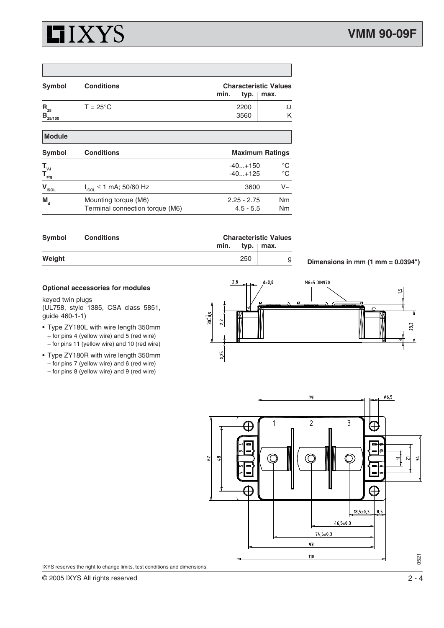### **HIXYS**

| Symbol                          | <b>Conditions</b>                                       | min. | <b>Characteristic Values</b><br>typ.<br>max. |                   |  |  |
|---------------------------------|---------------------------------------------------------|------|----------------------------------------------|-------------------|--|--|
| $R_{25}$<br>$B_{25/100}$        | $T = 25^{\circ}$ C                                      |      | 2200<br>3560                                 | Ω<br>Κ            |  |  |
| <b>Module</b>                   |                                                         |      |                                              |                   |  |  |
| Symbol                          | <b>Conditions</b>                                       |      | <b>Maximum Ratings</b>                       |                   |  |  |
| $T_{\nu J}$<br>$T_{\text{stg}}$ |                                                         |      | $-40. + 150$<br>$-40+125$                    | $^{\circ}C$<br>°C |  |  |
| $\mathbf{V}_{\text{ISOL}}$      | $I_{ISOL} \le 1$ mA; 50/60 Hz                           |      | 3600                                         | $V_{\sim}$        |  |  |
| $M_{\rm d}$                     | Mounting torque (M6)<br>Terminal connection torque (M6) |      | $2.25 - 2.75$<br>$4.5 - 5.5$                 | <b>Nm</b><br>Nm   |  |  |

| Symbol | <b>Conditions</b> |      | <b>Characteristic Values</b> |      |  |
|--------|-------------------|------|------------------------------|------|--|
|        |                   | min. | typ. $ $                     | max. |  |
| Weight |                   |      | 250                          | q    |  |

**Dimensions in mm (1 mm = 0.0394")**

#### **Optional accessories for modules**

keyed twin plugs

(UL758, style 1385, CSA class 5851, guide 460-1-1)

- Type ZY180L with wire length 350mm – for pins 4 (yellow wire) and 5 (red wire) – for pins 11 (yellow wire) and 10 (red wire)
- Type ZY180R with wire length 350mm – for pins 7 (yellow wire) and 6 (red wire)
	- for pins 8 (yellow wire) and 9 (red wire)





IXYS reserves the right to change limits, test conditions and dimensions.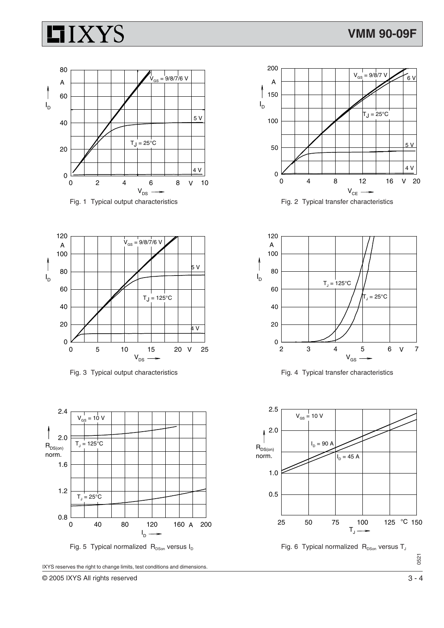# **HIXYS**







Fig. 3 Typical output characteristics Fig. 4 Typical transfer characteristics







IXYS reserves the right to change limits, test conditions and dimensions.